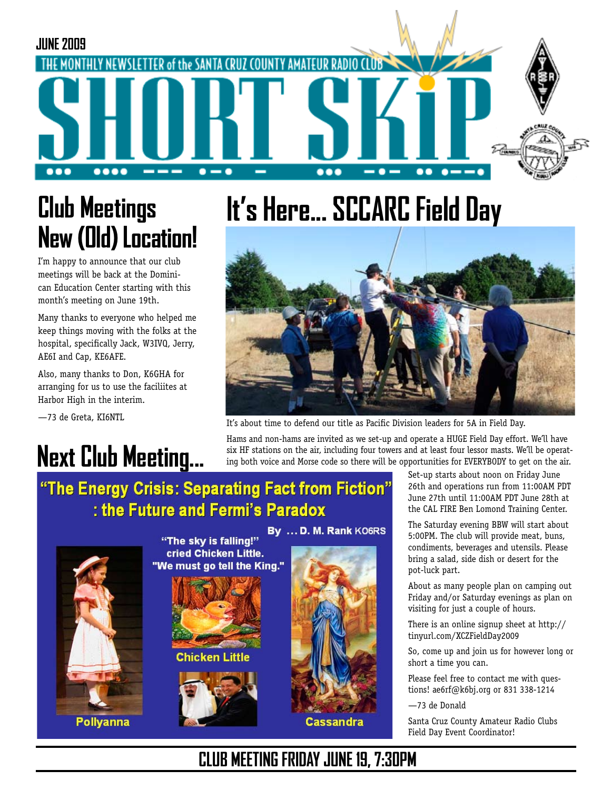

## **Club Meetings New (Old) Location!**

I'm happy to announce that our club meetings will be back at the Dominican Education Center starting with this month's meeting on June 19th.

Many thanks to everyone who helped me keep things moving with the folks at the hospital, specifically Jack, W3IVQ, Jerry, AE6I and Cap, KE6AFE.

Also, many thanks to Don, K6GHA for arranging for us to use the faciliites at Harbor High in the interim.

—73 de Greta, KI6NTL

## **Next Club Meeting...**

# **It's Here... SCCARC Field Day**



It's about time to defend our title as Pacific Division leaders for 5A in Field Day.

Hams and non-hams are invited as we set-up and operate a HUGE Field Day effort. We'll have six HF stations on the air, including four towers and at least four lessor masts. We'll be operating both voice and Morse code so there will be opportunities for EVERYBODY to get on the air.

#### "The Energy Crisis: Separating Fact from Fiction" : the Future and Fermi's Paradox



By ... D. M. Rank KO6RS "The sky is falling!" cried Chicken Little. "We must go tell the King."



**Chicken Little** 





Set-up starts about noon on Friday June 26th and operations run from 11:00AM PDT June 27th until 11:00AM PDT June 28th at the CAL FIRE Ben Lomond Training Center.

The Saturday evening BBW will start about 5:00PM. The club will provide meat, buns, condiments, beverages and utensils. Please bring a salad, side dish or desert for the pot-luck part.

About as many people plan on camping out Friday and/or Saturday evenings as plan on visiting for just a couple of hours.

There is an online signup sheet at http:// tinyurl.com/XCZFieldDay2009

So, come up and join us for however long or short a time you can.

Please feel free to contact me with questions! ae6rf@k6bj.org or 831 338-1214

#### —73 de Donald

Santa Cruz County Amateur Radio Clubs Field Day Event Coordinator!

#### **CLUB MEETING FRIDAY JUNE 19, 7:30PM**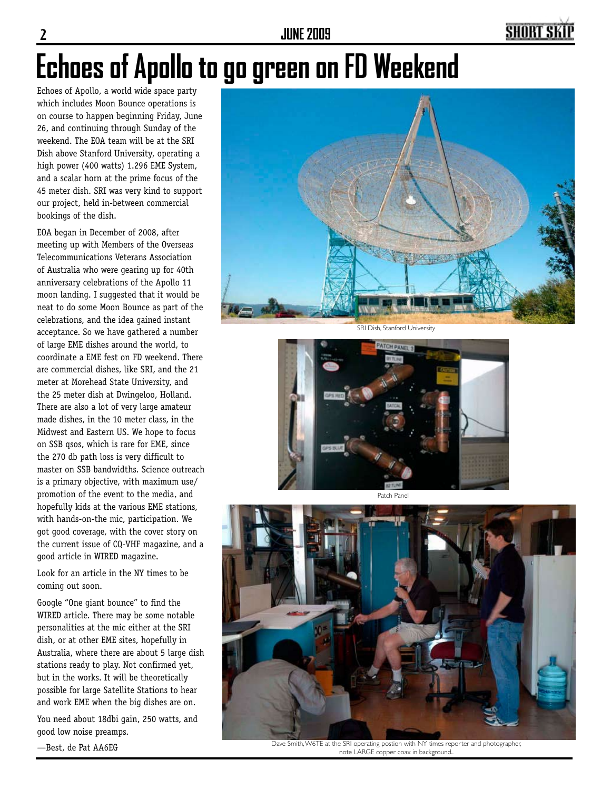**2 JUNE 2009**

### SHORT SI

# **Echoes of Apollo to go green on FD Weekend**

Echoes of Apollo, a world wide space party which includes Moon Bounce operations is on course to happen beginning Friday, June 26, and continuing through Sunday of the weekend. The EOA team will be at the SRI Dish above Stanford University, operating a high power (400 watts) 1.296 EME System, and a scalar horn at the prime focus of the 45 meter dish. SRI was very kind to support our project, held in-between commercial bookings of the dish.

EOA began in December of 2008, after meeting up with Members of the Overseas Telecommunications Veterans Association of Australia who were gearing up for 40th anniversary celebrations of the Apollo 11 moon landing. I suggested that it would be neat to do some Moon Bounce as part of the celebrations, and the idea gained instant acceptance. So we have gathered a number of large EME dishes around the world, to coordinate a EME fest on FD weekend. There are commercial dishes, like SRI, and the 21 meter at Morehead State University, and the 25 meter dish at Dwingeloo, Holland. There are also a lot of very large amateur made dishes, in the 10 meter class, in the Midwest and Eastern US. We hope to focus on SSB qsos, which is rare for EME, since the 270 db path loss is very difficult to master on SSB bandwidths. Science outreach is a primary objective, with maximum use/ promotion of the event to the media, and hopefully kids at the various EME stations, with hands-on-the mic, participation. We got good coverage, with the cover story on the current issue of CQ-VHF magazine, and a good article in WIRED magazine.

Look for an article in the NY times to be coming out soon.

Google "One giant bounce" to find the WIRED article. There may be some notable personalities at the mic either at the SRI dish, or at other EME sites, hopefully in Australia, where there are about 5 large dish stations ready to play. Not confirmed yet, but in the works. It will be theoretically possible for large Satellite Stations to hear and work EME when the big dishes are on.

You need about 18dbi gain, 250 watts, and good low noise preamps.



SRI Dish, Stanford University



Patch Panel



Dave Smith, W6TE at the SRI operating postion with NY times reporter and photographer, note LARGE copper coax in background..

—Best, de Pat AA6EG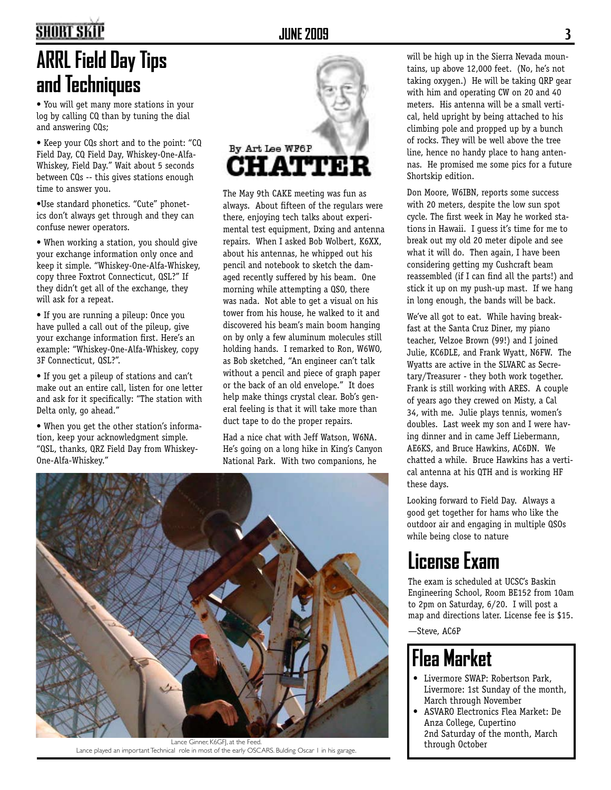### **SHORT SKIP**

## **ARRL Field Day Tips and Techniques**

• You will get many more stations in your log by calling CQ than by tuning the dial and answering CQs;

• Keep your CQs short and to the point: "CQ Field Day, CQ Field Day, Whiskey-One-Alfa-Whiskey, Field Day." Wait about 5 seconds between CQs -- this gives stations enough time to answer you.

•Use standard phonetics. "Cute" phonetics don't always get through and they can confuse newer operators.

• When working a station, you should give your exchange information only once and keep it simple. "Whiskey-One-Alfa-Whiskey, copy three Foxtrot Connecticut, QSL?" If they didn't get all of the exchange, they will ask for a repeat.

• If you are running a pileup: Once you have pulled a call out of the pileup, give your exchange information first. Here's an example: "Whiskey-One-Alfa-Whiskey, copy 3F Connecticut, QSL?".

• If you get a pileup of stations and can't make out an entire call, listen for one letter and ask for it specifically: "The station with Delta only, go ahead."

• When you get the other station's information, keep your acknowledgment simple. "QSL, thanks, QRZ Field Day from Whiskey-One-Alfa-Whiskey."



The May 9th CAKE meeting was fun as always. About fifteen of the regulars were there, enjoying tech talks about experimental test equipment, Dxing and antenna repairs. When I asked Bob Wolbert, K6XX, about his antennas, he whipped out his pencil and notebook to sketch the damaged recently suffered by his beam. One morning while attempting a QSO, there was nada. Not able to get a visual on his tower from his house, he walked to it and discovered his beam's main boom hanging on by only a few aluminum molecules still holding hands. I remarked to Ron, W6WO, as Bob sketched, "An engineer can't talk without a pencil and piece of graph paper or the back of an old envelope." It does help make things crystal clear. Bob's general feeling is that it will take more than duct tape to do the proper repairs.

Had a nice chat with Jeff Watson, W6NA. He's going on a long hike in King's Canyon National Park. With two companions, he



Lance Ginner, K6GFJ, at the Feed. Lance played an important Technical role in most of the early OSCARS. Bulding Oscar I in his garage.

will be high up in the Sierra Nevada mountains, up above 12,000 feet. (No, he's not taking oxygen.) He will be taking QRP gear with him and operating CW on 20 and 40 meters. His antenna will be a small vertical, held upright by being attached to his climbing pole and propped up by a bunch of rocks. They will be well above the tree line, hence no handy place to hang antennas. He promised me some pics for a future Shortskip edition.

Don Moore, W6IBN, reports some success with 20 meters, despite the low sun spot cycle. The first week in May he worked stations in Hawaii. I guess it's time for me to break out my old 20 meter dipole and see what it will do. Then again, I have been considering getting my Cushcraft beam reassembled (if I can find all the parts!) and stick it up on my push-up mast. If we hang in long enough, the bands will be back.

We've all got to eat. While having breakfast at the Santa Cruz Diner, my piano teacher, Velzoe Brown (99!) and I joined Julie, KC6DLE, and Frank Wyatt, N6FW. The Wyatts are active in the SLVARC as Secretary/Treasurer - they both work together. Frank is still working with ARES. A couple of years ago they crewed on Misty, a Cal 34, with me. Julie plays tennis, women's doubles. Last week my son and I were having dinner and in came Jeff Liebermann, AE6KS, and Bruce Hawkins, AC6DN. We chatted a while. Bruce Hawkins has a vertical antenna at his QTH and is working HF these days.

Looking forward to Field Day. Always a good get together for hams who like the outdoor air and engaging in multiple QSOs while being close to nature

### **License Exam**

The exam is scheduled at UCSC's Baskin Engineering School, Room BE152 from 10am to 2pm on Saturday, 6/20. I will post a map and directions later. License fee is \$15.

—Steve, AC6P

## **Flea Market**

- Livermore SWAP: Robertson Park, Livermore: 1st Sunday of the month, March through November
- ASVARO Electronics Flea Market: De Anza College, Cupertino 2nd Saturday of the month, March through October